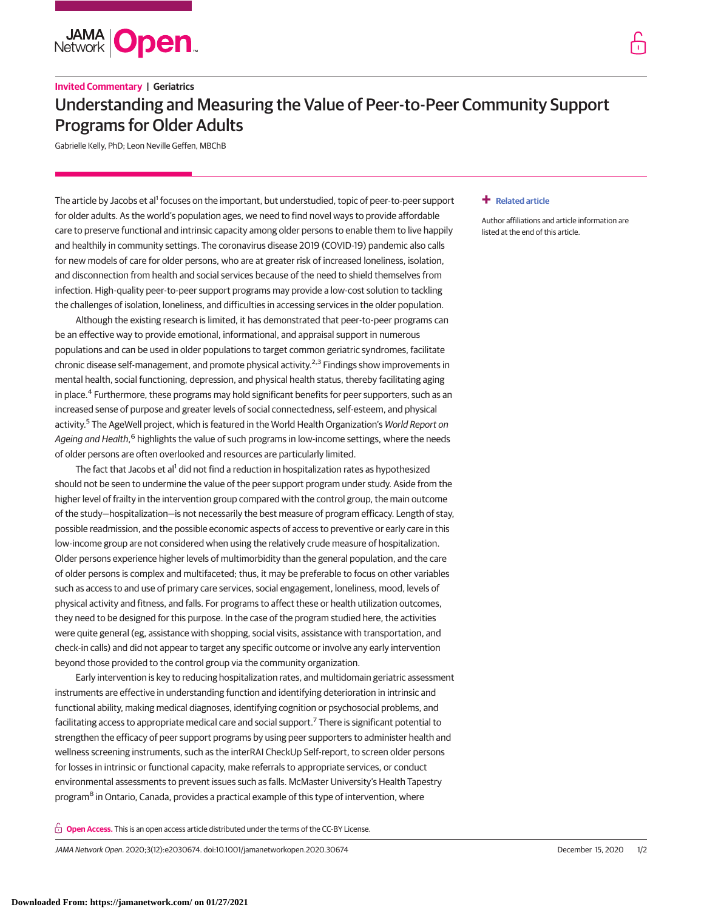

# **Invited Commentary | Geriatrics** Understanding and Measuring the Value of Peer-to-Peer Community Support Programs for Older Adults

Gabrielle Kelly, PhD; Leon Neville Geffen, MBChB

The article by Jacobs et al<sup>1</sup> focuses on the important, but understudied, topic of peer-to-peer support for older adults. As the world's population ages, we need to find novel ways to provide affordable care to preserve functional and intrinsic capacity among older persons to enable them to live happily and healthily in community settings. The coronavirus disease 2019 (COVID-19) pandemic also calls for new models of care for older persons, who are at greater risk of increased loneliness, isolation, and disconnection from health and social services because of the need to shield themselves from infection. High-quality peer-to-peer support programs may provide a low-cost solution to tackling the challenges of isolation, loneliness, and difficulties in accessing services in the older population.

Although the existing research is limited, it has demonstrated that peer-to-peer programs can be an effective way to provide emotional, informational, and appraisal support in numerous populations and can be used in older populations to target common geriatric syndromes, facilitate chronic disease self-management, and promote physical activity.<sup>2,3</sup> Findings show improvements in mental health, social functioning, depression, and physical health status, thereby facilitating aging in place.<sup>4</sup> Furthermore, these programs may hold significant benefits for peer supporters, such as an increased sense of purpose and greater levels of social connectedness, self-esteem, and physical activity.<sup>5</sup> The AgeWell project, which is featured in the World Health Organization's World Report on *Ageing and Health*,<sup>6</sup> highlights the value of such programs in low-income settings, where the needs of older persons are often overlooked and resources are particularly limited.

The fact that Jacobs et al<sup>1</sup> did not find a reduction in hospitalization rates as hypothesized should not be seen to undermine the value of the peer support program under study. Aside from the higher level of frailty in the intervention group compared with the control group, the main outcome of the study—hospitalization—is not necessarily the best measure of program efficacy. Length of stay, possible readmission, and the possible economic aspects of access to preventive or early care in this low-income group are not considered when using the relatively crude measure of hospitalization. Older persons experience higher levels of multimorbidity than the general population, and the care of older persons is complex and multifaceted; thus, it may be preferable to focus on other variables such as access to and use of primary care services, social engagement, loneliness, mood, levels of physical activity and fitness, and falls. For programs to affect these or health utilization outcomes, they need to be designed for this purpose. In the case of the program studied here, the activities were quite general (eg, assistance with shopping, social visits, assistance with transportation, and check-in calls) and did not appear to target any specific outcome or involve any early intervention beyond those provided to the control group via the community organization.

Early intervention is key to reducing hospitalization rates, and multidomain geriatric assessment instruments are effective in understanding function and identifying deterioration in intrinsic and functional ability, making medical diagnoses, identifying cognition or psychosocial problems, and facilitating access to appropriate medical care and social support.7 There is significant potential to strengthen the efficacy of peer support programs by using peer supporters to administer health and wellness screening instruments, such as the interRAI CheckUp Self-report, to screen older persons for losses in intrinsic or functional capacity, make referrals to appropriate services, or conduct environmental assessments to prevent issues such as falls. McMaster University's Health Tapestry program<sup>8</sup> in Ontario, Canada, provides a practical example of this type of intervention, where

**Open Access.** This is an open access article distributed under the terms of the CC-BY License.

JAMA Network Open. 2020;3(12):e2030674. doi:10.1001/jamanetworkopen.2020.30674 (Reprinted) December 15, 2020 1/2

### **+ [Related article](https://jama.jamanetwork.com/article.aspx?doi=10.1001/jamanetworkopen.2020.30090&utm_campaign=articlePDF%26utm_medium=articlePDFlink%26utm_source=articlePDF%26utm_content=jamanetworkopen.2020.30674)**

Author affiliations and article information are listed at the end of this article.